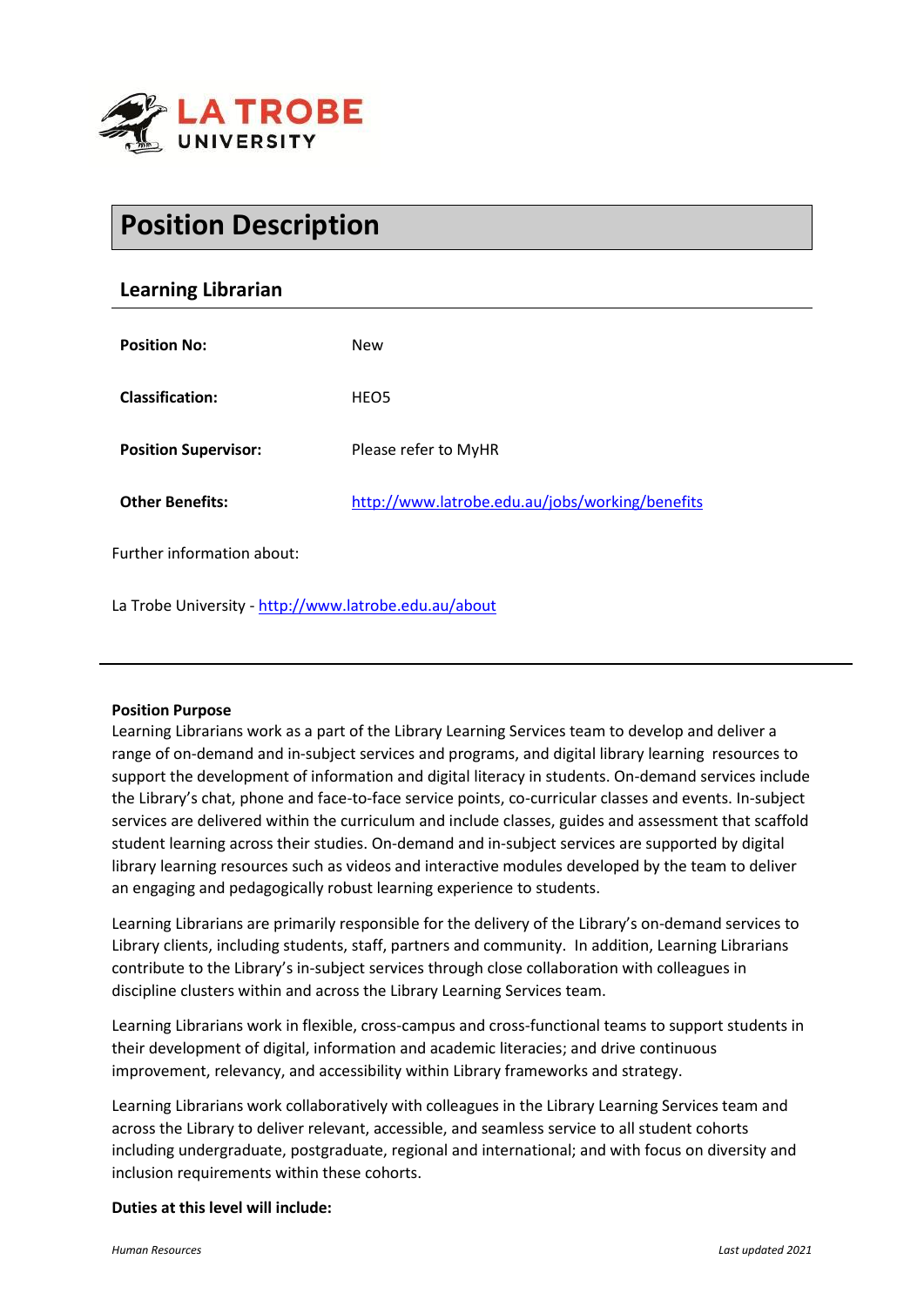

# **Position Description**

# **Learning Librarian**

| <b>Position No:</b>         | <b>New</b>                                      |
|-----------------------------|-------------------------------------------------|
| <b>Classification:</b>      | HEO <sub>5</sub>                                |
| <b>Position Supervisor:</b> | Please refer to MyHR                            |
| <b>Other Benefits:</b>      | http://www.latrobe.edu.au/jobs/working/benefits |
| Further information about:  |                                                 |

La Trobe University - <http://www.latrobe.edu.au/about>

### **Position Purpose**

Learning Librarians work as a part of the Library Learning Services team to develop and deliver a range of on-demand and in-subject services and programs, and digital library learning resources to support the development of information and digital literacy in students. On-demand services include the Library's chat, phone and face-to-face service points, co-curricular classes and events. In-subject services are delivered within the curriculum and include classes, guides and assessment that scaffold student learning across their studies. On-demand and in-subject services are supported by digital library learning resources such as videos and interactive modules developed by the team to deliver an engaging and pedagogically robust learning experience to students.

Learning Librarians are primarily responsible for the delivery of the Library's on-demand services to Library clients, including students, staff, partners and community. In addition, Learning Librarians contribute to the Library's in-subject services through close collaboration with colleagues in discipline clusters within and across the Library Learning Services team.

Learning Librarians work in flexible, cross-campus and cross-functional teams to support students in their development of digital, information and academic literacies; and drive continuous improvement, relevancy, and accessibility within Library frameworks and strategy.

Learning Librarians work collaboratively with colleagues in the Library Learning Services team and across the Library to deliver relevant, accessible, and seamless service to all student cohorts including undergraduate, postgraduate, regional and international; and with focus on diversity and inclusion requirements within these cohorts.

#### **Duties at this level will include:**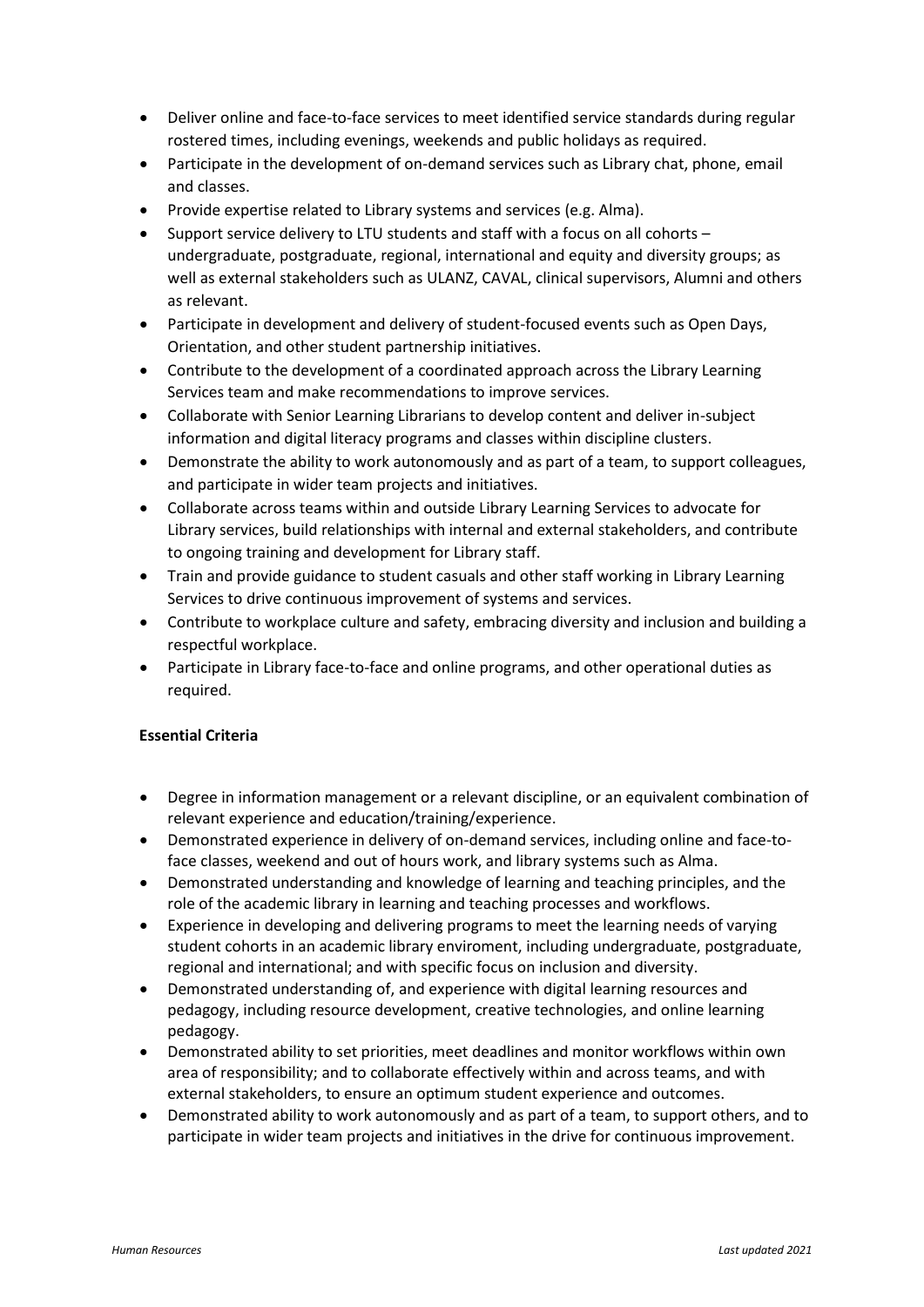- Deliver online and face-to-face services to meet identified service standards during regular rostered times, including evenings, weekends and public holidays as required.
- Participate in the development of on-demand services such as Library chat, phone, email and classes.
- Provide expertise related to Library systems and services (e.g. Alma).
- Support service delivery to LTU students and staff with a focus on all cohorts undergraduate, postgraduate, regional, international and equity and diversity groups; as well as external stakeholders such as ULANZ, CAVAL, clinical supervisors, Alumni and others as relevant.
- Participate in development and delivery of student-focused events such as Open Days, Orientation, and other student partnership initiatives.
- Contribute to the development of a coordinated approach across the Library Learning Services team and make recommendations to improve services.
- Collaborate with Senior Learning Librarians to develop content and deliver in-subject information and digital literacy programs and classes within discipline clusters.
- Demonstrate the ability to work autonomously and as part of a team, to support colleagues, and participate in wider team projects and initiatives.
- Collaborate across teams within and outside Library Learning Services to advocate for Library services, build relationships with internal and external stakeholders, and contribute to ongoing training and development for Library staff.
- Train and provide guidance to student casuals and other staff working in Library Learning Services to drive continuous improvement of systems and services.
- Contribute to workplace culture and safety, embracing diversity and inclusion and building a respectful workplace.
- Participate in Library face-to-face and online programs, and other operational duties as required.

# **Essential Criteria**

- Degree in information management or a relevant discipline, or an equivalent combination of relevant experience and education/training/experience.
- Demonstrated experience in delivery of on-demand services, including online and face-toface classes, weekend and out of hours work, and library systems such as Alma.
- Demonstrated understanding and knowledge of learning and teaching principles, and the role of the academic library in learning and teaching processes and workflows.
- Experience in developing and delivering programs to meet the learning needs of varying student cohorts in an academic library enviroment, including undergraduate, postgraduate, regional and international; and with specific focus on inclusion and diversity.
- Demonstrated understanding of, and experience with digital learning resources and pedagogy, including resource development, creative technologies, and online learning pedagogy.
- Demonstrated ability to set priorities, meet deadlines and monitor workflows within own area of responsibility; and to collaborate effectively within and across teams, and with external stakeholders, to ensure an optimum student experience and outcomes.
- Demonstrated ability to work autonomously and as part of a team, to support others, and to participate in wider team projects and initiatives in the drive for continuous improvement.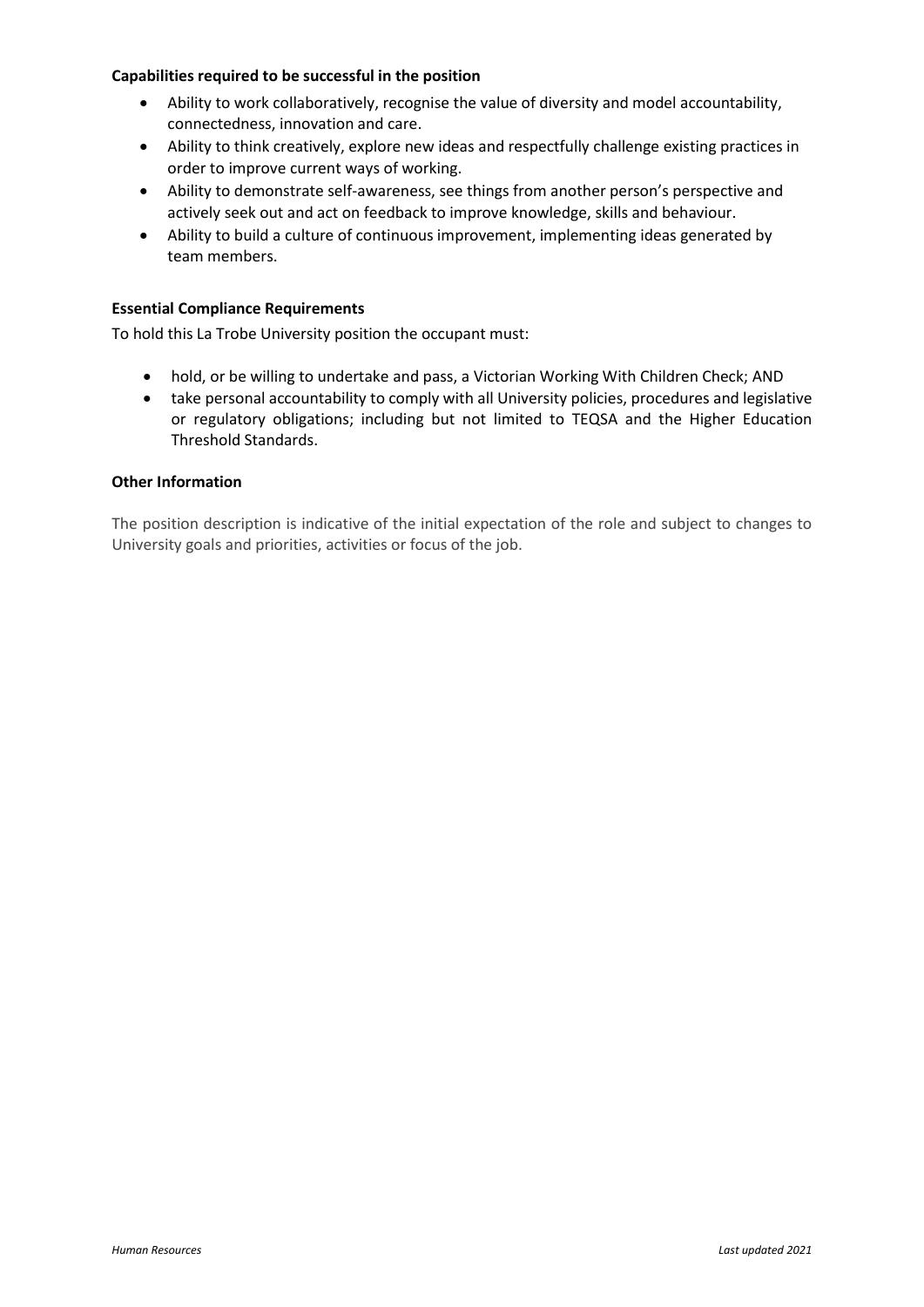### **Capabilities required to be successful in the position**

- Ability to work collaboratively, recognise the value of diversity and model accountability, connectedness, innovation and care.
- Ability to think creatively, explore new ideas and respectfully challenge existing practices in order to improve current ways of working.
- Ability to demonstrate self-awareness, see things from another person's perspective and actively seek out and act on feedback to improve knowledge, skills and behaviour.
- Ability to build a culture of continuous improvement, implementing ideas generated by team members.

#### **Essential Compliance Requirements**

To hold this La Trobe University position the occupant must:

- hold, or be willing to undertake and pass, a Victorian Working With Children Check; AND
- take personal accountability to comply with all University policies, procedures and legislative or regulatory obligations; including but not limited to TEQSA and the Higher Education Threshold Standards.

#### **Other Information**

The position description is indicative of the initial expectation of the role and subject to changes to University goals and priorities, activities or focus of the job.